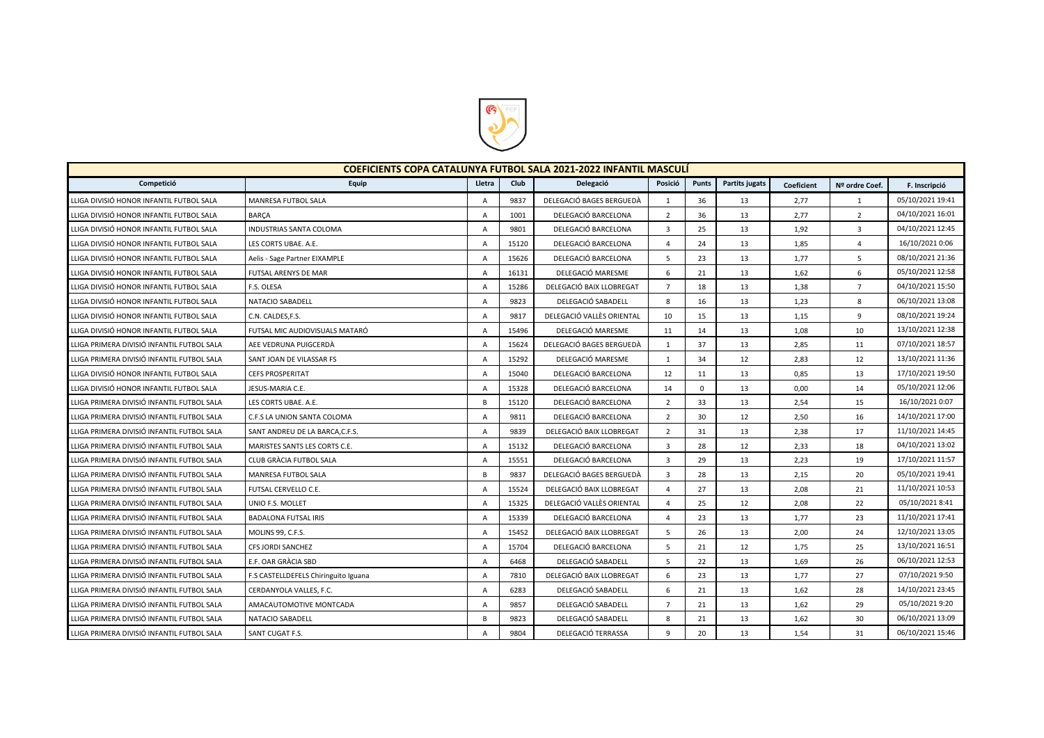

| <b>COEFICIENTS COPA CATALUNYA FUTBOL SALA 2021-2022 INFANTIL MASCULÍ</b> |                                      |                |       |                           |                |             |                |            |                 |                  |  |
|--------------------------------------------------------------------------|--------------------------------------|----------------|-------|---------------------------|----------------|-------------|----------------|------------|-----------------|------------------|--|
| Competició                                                               | Equip                                | Lletra         | Club  | Delegació                 | Posició        | Punts       | Partits jugats | Coeficient | Nº ordre Coef.  | F. Inscripció    |  |
| LLIGA DIVISIÓ HONOR INFANTIL FUTBOL SALA                                 | MANRESA FUTBOL SALA                  | $\overline{A}$ | 9837  | DELEGACIÓ BAGES BERGUEDÀ  | $\mathbf{1}$   | 36          | 13             | 2,77       | 1               | 05/10/2021 19:41 |  |
| LLIGA DIVISIÓ HONOR INFANTIL FUTBOL SALA                                 | <b>BARCA</b>                         | $\Delta$       | 1001  | DELEGACIÓ BARCELONA       | $\overline{2}$ | 36          | 13             | 2,77       | $\overline{2}$  | 04/10/2021 16:01 |  |
| LLIGA DIVISIÓ HONOR INFANTIL FUTBOL SALA                                 | INDUSTRIAS SANTA COLOMA              | A              | 9801  | DELEGACIÓ BARCELONA       | $\overline{3}$ | 25          | 13             | 1,92       | 3               | 04/10/2021 12:45 |  |
| LLIGA DIVISIÓ HONOR INFANTIL FUTBOL SALA                                 | LES CORTS UBAE. A.E.                 | A              | 15120 | DELEGACIÓ BARCELONA       | $\overline{4}$ | 24          | 13             | 1,85       | $\overline{4}$  | 16/10/2021 0:06  |  |
| LLIGA DIVISIÓ HONOR INFANTIL FUTBOL SALA                                 | Aelis - Sage Partner EIXAMPLE        | $\overline{A}$ | 15626 | DELEGACIÓ BARCELONA       | 5              | 23          | 13             | 1,77       | 5               | 08/10/2021 21:36 |  |
| LLIGA DIVISIÓ HONOR INFANTIL FUTBOL SALA                                 | FUTSAL ARENYS DE MAR                 | A              | 16131 | DELEGACIÓ MARESME         | 6              | 21          | 13             | 1,62       | 6               | 05/10/2021 12:58 |  |
| LLIGA DIVISIÓ HONOR INFANTIL FUTBOL SALA                                 | F.S. OLESA                           | A              | 15286 | DELEGACIÓ BAIX LLOBREGAT  | $\overline{7}$ | 18          | 13             | 1,38       | $7\overline{ }$ | 04/10/2021 15:50 |  |
| LLIGA DIVISIÓ HONOR INFANTIL FUTBOL SALA                                 | NATACIO SABADELL                     | A              | 9823  | DELEGACIÓ SABADELL        | 8              | 16          | 13             | 1,23       | 8               | 06/10/2021 13:08 |  |
| LLIGA DIVISIÓ HONOR INFANTIL FUTBOL SALA                                 | C.N. CALDES, F.S.                    | A              | 9817  | DELEGACIÓ VALLÈS ORIENTAL | 10             | 15          | 13             | 1,15       | 9               | 08/10/2021 19:24 |  |
| LLIGA DIVISIÓ HONOR INFANTIL FUTBOL SALA                                 | FUTSAL MIC AUDIOVISUALS MATARÓ       | A              | 15496 | DELEGACIÓ MARESME         | 11             | 14          | 13             | 1,08       | 10              | 13/10/2021 12:38 |  |
| LLIGA PRIMERA DIVISIÓ INFANTIL FUTBOL SALA                               | AEE VEDRUNA PUIGCERDÀ                | A              | 15624 | DELEGACIÓ BAGES BERGUEDÀ  | $\mathbf{1}$   | 37          | 13             | 2,85       | 11              | 07/10/2021 18:57 |  |
| LLIGA PRIMERA DIVISIÓ INFANTIL FUTBOL SALA                               | SANT JOAN DE VILASSAR FS             | $\overline{A}$ | 15292 | DELEGACIÓ MARESME         | 1              | 34          | 12             | 2,83       | 12              | 13/10/2021 11:36 |  |
| LLIGA DIVISIÓ HONOR INFANTIL FUTBOL SALA                                 | <b>CEFS PROSPERITAT</b>              | A              | 15040 | DELEGACIÓ BARCELONA       | 12             | 11          | 13             | 0,85       | 13              | 17/10/2021 19:50 |  |
| LLIGA DIVISIÓ HONOR INFANTIL FUTBOL SALA                                 | JESUS-MARIA C.E.                     | A              | 15328 | DELEGACIÓ BARCELONA       | 14             | $\mathbf 0$ | 13             | 0,00       | 14              | 05/10/2021 12:06 |  |
| LLIGA PRIMERA DIVISIÓ INFANTIL FUTBOL SALA                               | LES CORTS UBAE. A.E.                 | <b>B</b>       | 15120 | DELEGACIÓ BARCELONA       | $\overline{2}$ | 33          | 13             | 2,54       | 15              | 16/10/2021 0:07  |  |
| LLIGA PRIMERA DIVISIÓ INFANTIL FUTBOL SALA                               | C.F.S LA UNION SANTA COLOMA          | A              | 9811  | DELEGACIÓ BARCELONA       | $\overline{2}$ | 30          | 12             | 2,50       | 16              | 14/10/2021 17:00 |  |
| LLIGA PRIMERA DIVISIÓ INFANTIL FUTBOL SALA                               | SANT ANDREU DE LA BARCA, C.F.S.      | A              | 9839  | DELEGACIÓ BAIX LLOBREGAT  | $\overline{2}$ | 31          | 13             | 2,38       | 17              | 11/10/2021 14:45 |  |
| LLIGA PRIMERA DIVISIÓ INFANTIL FUTBOL SALA                               | MARISTES SANTS LES CORTS C.E.        | A              | 15132 | DELEGACIÓ BARCELONA       | $\overline{3}$ | 28          | 12             | 2,33       | 18              | 04/10/2021 13:02 |  |
| LLIGA PRIMERA DIVISIÓ INFANTIL FUTBOL SALA                               | CLUB GRÀCIA FUTBOL SALA              | A              | 15551 | DELEGACIÓ BARCELONA       | $\overline{3}$ | 29          | 13             | 2,23       | 19              | 17/10/2021 11:57 |  |
| LLIGA PRIMERA DIVISIÓ INFANTIL FUTBOL SALA                               | MANRESA FUTBOL SALA                  | <b>B</b>       | 9837  | DELEGACIÓ BAGES BERGUEDÀ  | $\overline{3}$ | 28          | 13             | 2,15       | 20              | 05/10/2021 19:41 |  |
| LLIGA PRIMERA DIVISIÓ INFANTIL FUTBOL SALA                               | FUTSAL CERVELLO C.E.                 | A              | 15524 | DELEGACIÓ BAIX LLOBREGAT  | $\overline{4}$ | 27          | 13             | 2,08       | 21              | 11/10/2021 10:53 |  |
| LLIGA PRIMERA DIVISIÓ INFANTIL FUTBOL SALA                               | UNIO F.S. MOLLET                     | A              | 15325 | DELEGACIÓ VALLÈS ORIENTAL | $\overline{4}$ | 25          | 12             | 2,08       | 22              | 05/10/2021 8:41  |  |
| LLIGA PRIMERA DIVISIÓ INFANTIL FUTBOL SALA                               | <b>BADALONA FUTSAL IRIS</b>          | A              | 15339 | DELEGACIÓ BARCELONA       | $\overline{4}$ | 23          | 13             | 1,77       | 23              | 11/10/2021 17:41 |  |
| LLIGA PRIMERA DIVISIÓ INFANTIL FUTBOL SALA                               | MOLINS 99, C.F.S.                    | A              | 15452 | DELEGACIÓ BAIX LLOBREGAT  | 5              | 26          | 13             | 2,00       | 24              | 12/10/2021 13:05 |  |
| LLIGA PRIMERA DIVISIÓ INFANTIL FUTBOL SALA                               | CFS JORDI SANCHEZ                    | A              | 15704 | DELEGACIÓ BARCELONA       | 5              | 21          | 12             | 1,75       | 25              | 13/10/2021 16:51 |  |
| LLIGA PRIMERA DIVISIÓ INFANTIL FUTBOL SALA                               | E.F. OAR GRACIA SBD                  | A              | 6468  | DELEGACIÓ SABADELL        | 5              | 22          | 13             | 1,69       | 26              | 06/10/2021 12:53 |  |
| LLIGA PRIMERA DIVISIÓ INFANTIL FUTBOL SALA                               | F.S CASTELLDEFELS Chiringuito Iguana | $\overline{A}$ | 7810  | DELEGACIÓ BAIX LLOBREGAT  | 6              | 23          | 13             | 1,77       | 27              | 07/10/2021 9:50  |  |
| LLIGA PRIMERA DIVISIÓ INFANTIL FUTBOL SALA                               | CERDANYOLA VALLES, F.C.              | A              | 6283  | DELEGACIÓ SABADELL        | 6              | 21          | 13             | 1,62       | 28              | 14/10/2021 23:45 |  |
| LLIGA PRIMERA DIVISIÓ INFANTIL FUTBOL SALA                               | AMACAUTOMOTIVE MONTCADA              | A              | 9857  | DELEGACIÓ SABADELL        | $\overline{7}$ | 21          | 13             | 1,62       | 29              | 05/10/2021 9:20  |  |
| LLIGA PRIMERA DIVISIÓ INFANTIL FUTBOL SALA                               | NATACIO SABADELL                     | <b>B</b>       | 9823  | DELEGACIÓ SABADELL        | 8              | 21          | 13             | 1,62       | 30              | 06/10/2021 13:09 |  |
| LLIGA PRIMERA DIVISIÓ INFANTIL FUTBOL SALA                               | SANT CUGAT F.S.                      | A              | 9804  | DELEGACIÓ TERRASSA        | 9              | 20          | 13             | 1,54       | 31              | 06/10/2021 15:46 |  |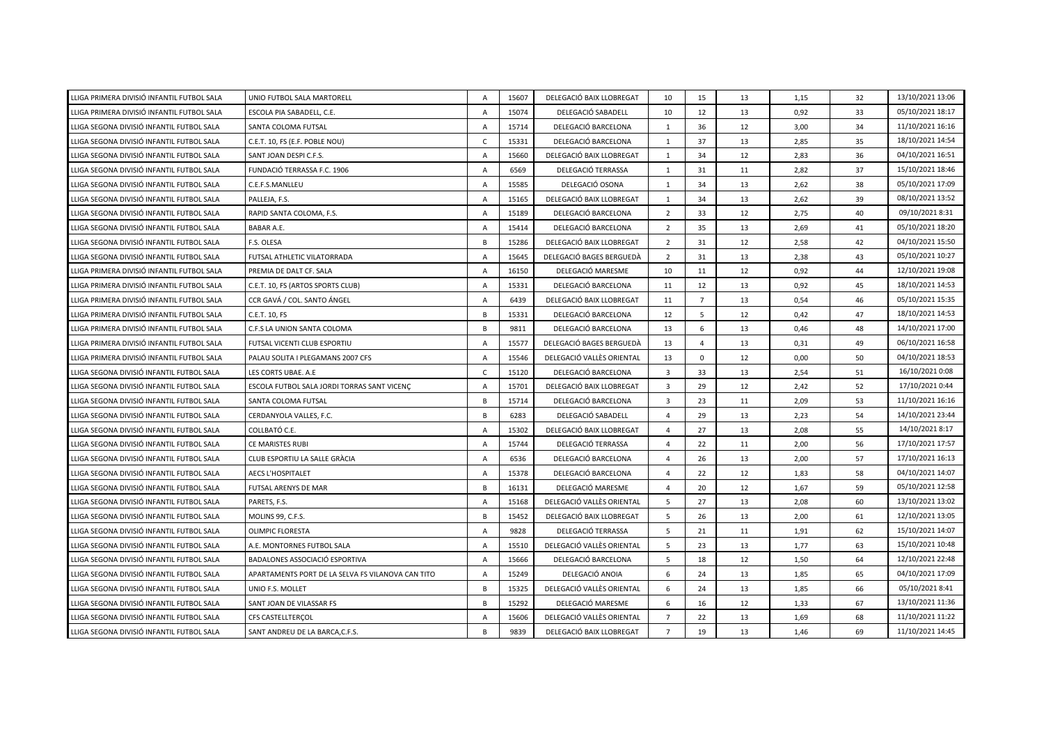| LLIGA PRIMERA DIVISIÓ INFANTIL FUTBOL SALA | UNIO FUTBOL SALA MARTORELL                        | A              | 15607 | DELEGACIÓ BAIX LLOBREGAT  | 10                      | 15             | 13 | 1,15 | 32 | 13/10/2021 13:06 |
|--------------------------------------------|---------------------------------------------------|----------------|-------|---------------------------|-------------------------|----------------|----|------|----|------------------|
| LLIGA PRIMERA DIVISIÓ INFANTIL FUTBOL SALA | ESCOLA PIA SABADELL, C.E.                         | A              | 15074 | DELEGACIÓ SABADELL        | 10                      | 12             | 13 | 0,92 | 33 | 05/10/2021 18:17 |
| LLIGA SEGONA DIVISIÓ INFANTIL FUTBOL SALA  | SANTA COLOMA FUTSAL                               | A              | 15714 | DELEGACIÓ BARCELONA       | $\mathbf{1}$            | 36             | 12 | 3,00 | 34 | 11/10/2021 16:16 |
| LLIGA SEGONA DIVISIÓ INFANTIL FUTBOL SALA  | C.E.T. 10, FS (E.F. POBLE NOU)                    | $\mathsf{C}$   | 15331 | DELEGACIÓ BARCELONA       | $\mathbf{1}$            | 37             | 13 | 2,85 | 35 | 18/10/2021 14:54 |
| LLIGA SEGONA DIVISIÓ INFANTIL FUTBOL SALA  | SANT JOAN DESPI C.F.S.                            | A              | 15660 | DELEGACIÓ BAIX LLOBREGAT  | $\mathbf{1}$            | 34             | 12 | 2,83 | 36 | 04/10/2021 16:51 |
| LLIGA SEGONA DIVISIÓ INFANTIL FUTBOL SALA  | FUNDACIÓ TERRASSA F.C. 1906                       | A              | 6569  | DELEGACIÓ TERRASSA        | $\mathbf{1}$            | 31             | 11 | 2,82 | 37 | 15/10/2021 18:46 |
| LLIGA SEGONA DIVISIÓ INFANTIL FUTBOL SALA  | C.E.F.S.MANLLEU                                   | A              | 15585 | DELEGACIÓ OSONA           | 1                       | 34             | 13 | 2,62 | 38 | 05/10/2021 17:09 |
| LLIGA SEGONA DIVISIÓ INFANTIL FUTBOL SALA  | PALLEJA, F.S.                                     | Α              | 15165 | DELEGACIÓ BAIX LLOBREGAT  | $\mathbf{1}$            | 34             | 13 | 2,62 | 39 | 08/10/2021 13:52 |
| LLIGA SEGONA DIVISIÓ INFANTIL FUTBOL SALA  | RAPID SANTA COLOMA, F.S.                          | A              | 15189 | DELEGACIÓ BARCELONA       | $\overline{2}$          | 33             | 12 | 2,75 | 40 | 09/10/2021 8:31  |
| LLIGA SEGONA DIVISIÓ INFANTIL FUTBOL SALA  | BABAR A.E.                                        | A              | 15414 | DELEGACIÓ BARCELONA       | $\overline{2}$          | 35             | 13 | 2,69 | 41 | 05/10/2021 18:20 |
| LLIGA SEGONA DIVISIÓ INFANTIL FUTBOL SALA  | F.S. OLESA                                        | B              | 15286 | DELEGACIÓ BAIX LLOBREGAT  | $\overline{2}$          | 31             | 12 | 2,58 | 42 | 04/10/2021 15:50 |
| LLIGA SEGONA DIVISIÓ INFANTIL FUTBOL SALA  | FUTSAL ATHLETIC VILATORRADA                       | A              | 15645 | DELEGACIÓ BAGES BERGUEDÀ  | $\overline{2}$          | 31             | 13 | 2,38 | 43 | 05/10/2021 10:27 |
| LLIGA PRIMERA DIVISIÓ INFANTIL FUTBOL SALA | PREMIA DE DALT CF. SALA                           | $\overline{A}$ | 16150 | DELEGACIÓ MARESME         | 10                      | 11             | 12 | 0,92 | 44 | 12/10/2021 19:08 |
| LLIGA PRIMERA DIVISIÓ INFANTIL FUTBOL SALA | C.E.T. 10, FS (ARTOS SPORTS CLUB)                 | A              | 15331 | DELEGACIÓ BARCELONA       | 11                      | 12             | 13 | 0,92 | 45 | 18/10/2021 14:53 |
| LLIGA PRIMERA DIVISIÓ INFANTIL FUTBOL SALA | CCR GAVÁ / COL. SANTO ÁNGEL                       | $\overline{A}$ | 6439  | DELEGACIÓ BAIX LLOBREGAT  | 11                      | $\overline{7}$ | 13 | 0,54 | 46 | 05/10/2021 15:35 |
| LLIGA PRIMERA DIVISIÓ INFANTIL FUTBOL SALA | C.E.T. 10, FS                                     | B              | 15331 | DELEGACIÓ BARCELONA       | 12                      | 5              | 12 | 0,42 | 47 | 18/10/2021 14:53 |
| LLIGA PRIMERA DIVISIÓ INFANTIL FUTBOL SALA | C.F.S LA UNION SANTA COLOMA                       | B              | 9811  | DELEGACIÓ BARCELONA       | 13                      | 6              | 13 | 0,46 | 48 | 14/10/2021 17:00 |
| LLIGA PRIMERA DIVISIÓ INFANTIL FUTBOL SALA | FUTSAL VICENTI CLUB ESPORTIU                      | $\mathsf{A}$   | 15577 | DELEGACIÓ BAGES BERGUEDÀ  | 13                      | $\overline{4}$ | 13 | 0,31 | 49 | 06/10/2021 16:58 |
| LLIGA PRIMERA DIVISIÓ INFANTIL FUTBOL SALA | PALAU SOLITA I PLEGAMANS 2007 CFS                 | A              | 15546 | DELEGACIÓ VALLÈS ORIENTAL | 13                      | 0              | 12 | 0,00 | 50 | 04/10/2021 18:53 |
| LLIGA SEGONA DIVISIÓ INFANTIL FUTBOL SALA  | LES CORTS UBAE. A.E                               | $\mathsf{C}$   | 15120 | DELEGACIÓ BARCELONA       | $\overline{\mathbf{3}}$ | 33             | 13 | 2,54 | 51 | 16/10/2021 0:08  |
| LLIGA SEGONA DIVISIÓ INFANTIL FUTBOL SALA  | ESCOLA FUTBOL SALA JORDI TORRAS SANT VICENÇ       | A              | 15701 | DELEGACIÓ BAIX LLOBREGAT  | $\overline{3}$          | 29             | 12 | 2,42 | 52 | 17/10/2021 0:44  |
| LLIGA SEGONA DIVISIÓ INFANTIL FUTBOL SALA  | SANTA COLOMA FUTSAL                               | B              | 15714 | DELEGACIÓ BARCELONA       | $\overline{3}$          | 23             | 11 | 2,09 | 53 | 11/10/2021 16:16 |
| LLIGA SEGONA DIVISIÓ INFANTIL FUTBOL SALA  | CERDANYOLA VALLES, F.C.                           | B              | 6283  | DELEGACIÓ SABADELL        | $\overline{4}$          | 29             | 13 | 2,23 | 54 | 14/10/2021 23:44 |
| LLIGA SEGONA DIVISIÓ INFANTIL FUTBOL SALA  | COLLBATÓ C.E.                                     | A              | 15302 | DELEGACIÓ BAIX LLOBREGAT  | $\overline{4}$          | 27             | 13 | 2,08 | 55 | 14/10/2021 8:17  |
| LLIGA SEGONA DIVISIÓ INFANTIL FUTBOL SALA  | CE MARISTES RUBI                                  | A              | 15744 | DELEGACIÓ TERRASSA        | $\overline{4}$          | 22             | 11 | 2,00 | 56 | 17/10/2021 17:57 |
| LLIGA SEGONA DIVISIÓ INFANTIL FUTBOL SALA  | CLUB ESPORTIU LA SALLE GRÀCIA                     | Α              | 6536  | DELEGACIÓ BARCELONA       | $\overline{4}$          | 26             | 13 | 2,00 | 57 | 17/10/2021 16:13 |
| LLIGA SEGONA DIVISIÓ INFANTIL FUTBOL SALA  | <b>AECS L'HOSPITALET</b>                          | Α              | 15378 | DELEGACIÓ BARCELONA       | $\overline{4}$          | 22             | 12 | 1,83 | 58 | 04/10/2021 14:07 |
| LLIGA SEGONA DIVISIÓ INFANTIL FUTBOL SALA  | FUTSAL ARENYS DE MAR                              | B              | 16131 | DELEGACIÓ MARESME         | $\overline{4}$          | 20             | 12 | 1,67 | 59 | 05/10/2021 12:58 |
| LLIGA SEGONA DIVISIÓ INFANTIL FUTBOL SALA  | PARETS, F.S.                                      | $\overline{A}$ | 15168 | DELEGACIÓ VALLÈS ORIENTAL | 5                       | 27             | 13 | 2,08 | 60 | 13/10/2021 13:02 |
| LLIGA SEGONA DIVISIÓ INFANTIL FUTBOL SALA  | MOLINS 99, C.F.S.                                 | B              | 15452 | DELEGACIÓ BAIX LLOBREGAT  | 5                       | 26             | 13 | 2,00 | 61 | 12/10/2021 13:05 |
| LLIGA SEGONA DIVISIÓ INFANTIL FUTBOL SALA  | OLIMPIC FLORESTA                                  | A              | 9828  | DELEGACIÓ TERRASSA        | 5                       | 21             | 11 | 1,91 | 62 | 15/10/2021 14:07 |
| LLIGA SEGONA DIVISIÓ INFANTIL FUTBOL SALA  | A.E. MONTORNES FUTBOL SALA                        | $\mathsf{A}$   | 15510 | DELEGACIÓ VALLÈS ORIENTAL | 5                       | 23             | 13 | 1,77 | 63 | 15/10/2021 10:48 |
| LLIGA SEGONA DIVISIÓ INFANTIL FUTBOL SALA  | BADALONES ASSOCIACIÓ ESPORTIVA                    | A              | 15666 | DELEGACIÓ BARCELONA       | 5                       | 18             | 12 | 1,50 | 64 | 12/10/2021 22:48 |
| LLIGA SEGONA DIVISIÓ INFANTIL FUTBOL SALA  | APARTAMENTS PORT DE LA SELVA FS VILANOVA CAN TITO | A              | 15249 | DELEGACIÓ ANOIA           | 6                       | 24             | 13 | 1,85 | 65 | 04/10/2021 17:09 |
| LLIGA SEGONA DIVISIÓ INFANTIL FUTBOL SALA  | UNIO F.S. MOLLET                                  | B              | 15325 | DELEGACIÓ VALLÈS ORIENTAL | 6                       | 24             | 13 | 1,85 | 66 | 05/10/2021 8:41  |
| LLIGA SEGONA DIVISIÓ INFANTIL FUTBOL SALA  | SANT JOAN DE VILASSAR FS                          | B              | 15292 | DELEGACIÓ MARESME         | 6                       | 16             | 12 | 1,33 | 67 | 13/10/2021 11:36 |
| LLIGA SEGONA DIVISIÓ INFANTIL FUTBOL SALA  | CFS CASTELLTERÇOL                                 | A              | 15606 | DELEGACIÓ VALLÈS ORIENTAL | $\overline{7}$          | 22             | 13 | 1,69 | 68 | 11/10/2021 11:22 |
| LLIGA SEGONA DIVISIÓ INFANTIL FUTBOL SALA  | SANT ANDREU DE LA BARCA, C.F.S.                   | B              | 9839  | DELEGACIÓ BAIX LLOBREGAT  | $\overline{7}$          | 19             | 13 | 1,46 | 69 | 11/10/2021 14:45 |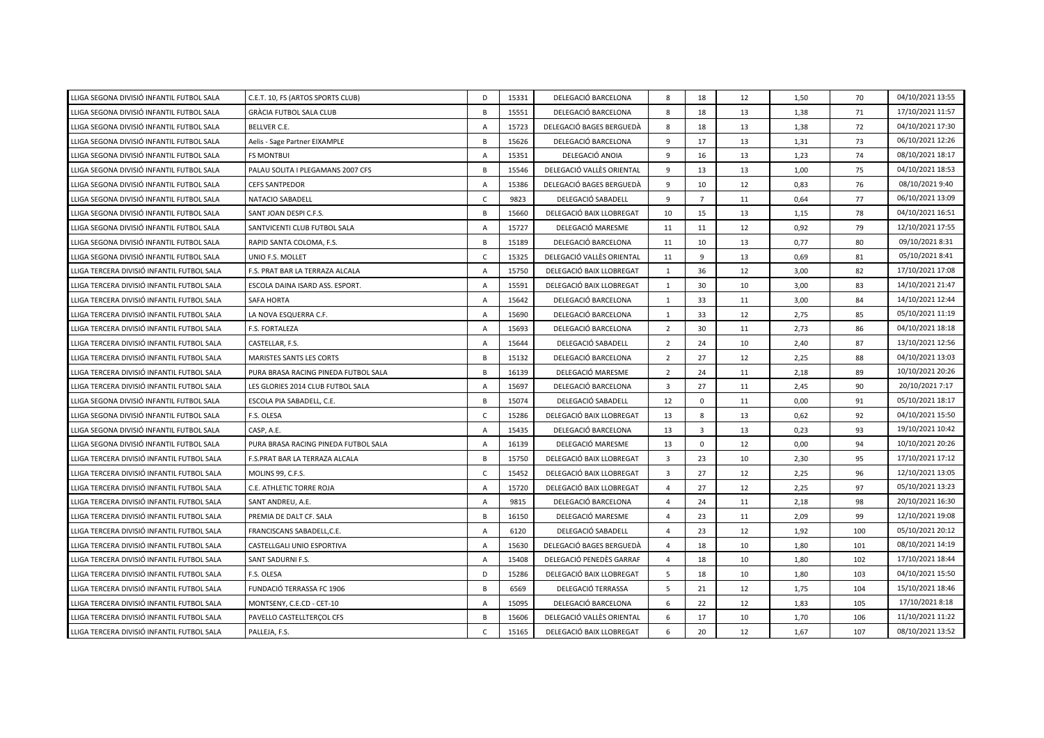| LLIGA SEGONA DIVISIÓ INFANTIL FUTBOL SALA  | C.E.T. 10, FS (ARTOS SPORTS CLUB)    | D              | 15331 | DELEGACIÓ BARCELONA       | 8              | 18             | 12 | 1,50 | 70  | 04/10/2021 13:55 |
|--------------------------------------------|--------------------------------------|----------------|-------|---------------------------|----------------|----------------|----|------|-----|------------------|
| LLIGA SEGONA DIVISIÓ INFANTIL FUTBOL SALA  | GRÀCIA FUTBOL SALA CLUB              | B              | 15551 | DELEGACIÓ BARCELONA       | 8              | 18             | 13 | 1,38 | 71  | 17/10/2021 11:57 |
| LLIGA SEGONA DIVISIÓ INFANTIL FUTBOL SALA  | <b>BELLVER C.E.</b>                  | A              | 15723 | DELEGACIÓ BAGES BERGUEDÀ  | 8              | 18             | 13 | 1,38 | 72  | 04/10/2021 17:30 |
| LLIGA SEGONA DIVISIÓ INFANTIL FUTBOL SALA  | Aelis - Sage Partner EIXAMPLE        | B              | 15626 | DELEGACIÓ BARCELONA       | 9              | 17             | 13 | 1,31 | 73  | 06/10/2021 12:26 |
| LLIGA SEGONA DIVISIÓ INFANTIL FUTBOL SALA  | <b>FS MONTBUI</b>                    | A              | 15351 | DELEGACIÓ ANOIA           | 9              | 16             | 13 | 1,23 | 74  | 08/10/2021 18:17 |
| LLIGA SEGONA DIVISIÓ INFANTIL FUTBOL SALA  | PALAU SOLITA I PLEGAMANS 2007 CFS    | B              | 15546 | DELEGACIÓ VALLÈS ORIENTAL | 9              | 13             | 13 | 1,00 | 75  | 04/10/2021 18:53 |
| LLIGA SEGONA DIVISIÓ INFANTIL FUTBOL SALA  | <b>CEFS SANTPEDOR</b>                | A              | 15386 | DELEGACIÓ BAGES BERGUEDÀ  | 9              | 10             | 12 | 0,83 | 76  | 08/10/2021 9:40  |
| LLIGA SEGONA DIVISIÓ INFANTIL FUTBOL SALA  | NATACIO SABADELL                     | C              | 9823  | DELEGACIÓ SABADELL        | 9              | $\overline{7}$ | 11 | 0,64 | 77  | 06/10/2021 13:09 |
| LLIGA SEGONA DIVISIÓ INFANTIL FUTBOL SALA  | SANT JOAN DESPI C.F.S.               | B              | 15660 | DELEGACIÓ BAIX LLOBREGAT  | 10             | 15             | 13 | 1,15 | 78  | 04/10/2021 16:51 |
| LLIGA SEGONA DIVISIÓ INFANTIL FUTBOL SALA  | SANTVICENTI CLUB FUTBOL SALA         | Α              | 15727 | DELEGACIÓ MARESME         | 11             | 11             | 12 | 0,92 | 79  | 12/10/2021 17:55 |
| LLIGA SEGONA DIVISIÓ INFANTIL FUTBOL SALA  | RAPID SANTA COLOMA, F.S.             | B              | 15189 | DELEGACIÓ BARCELONA       | 11             | 10             | 13 | 0,77 | 80  | 09/10/2021 8:31  |
| LLIGA SEGONA DIVISIÓ INFANTIL FUTBOL SALA  | UNIO F.S. MOLLET                     | $\mathsf{C}$   | 15325 | DELEGACIÓ VALLÈS ORIENTAL | 11             | 9              | 13 | 0,69 | 81  | 05/10/2021 8:41  |
| LLIGA TERCERA DIVISIÓ INFANTIL FUTBOL SALA | F.S. PRAT BAR LA TERRAZA ALCALA      | $\overline{A}$ | 15750 | DELEGACIÓ BAIX LLOBREGAT  | $\mathbf{1}$   | 36             | 12 | 3,00 | 82  | 17/10/2021 17:08 |
| LLIGA TERCERA DIVISIÓ INFANTIL FUTBOL SALA | ESCOLA DAINA ISARD ASS. ESPORT.      | $\mathsf{A}$   | 15591 | DELEGACIÓ BAIX LLOBREGAT  | 1              | 30             | 10 | 3,00 | 83  | 14/10/2021 21:47 |
| LLIGA TERCERA DIVISIÓ INFANTIL FUTBOL SALA | <b>SAFA HORTA</b>                    | $\overline{A}$ | 15642 | DELEGACIÓ BARCELONA       | $\mathbf{1}$   | 33             | 11 | 3,00 | 84  | 14/10/2021 12:44 |
| LLIGA TERCERA DIVISIÓ INFANTIL FUTBOL SALA | LA NOVA ESQUERRA C.F.                | Α              | 15690 | DELEGACIÓ BARCELONA       | $\mathbf{1}$   | 33             | 12 | 2,75 | 85  | 05/10/2021 11:19 |
| LLIGA TERCERA DIVISIÓ INFANTIL FUTBOL SALA | F.S. FORTALEZA                       | A              | 15693 | DELEGACIÓ BARCELONA       | $\overline{2}$ | 30             | 11 | 2,73 | 86  | 04/10/2021 18:18 |
| LLIGA TERCERA DIVISIÓ INFANTIL FUTBOL SALA | CASTELLAR, F.S.                      | A              | 15644 | DELEGACIÓ SABADELL        | $\overline{2}$ | 24             | 10 | 2,40 | 87  | 13/10/2021 12:56 |
| LLIGA TERCERA DIVISIÓ INFANTIL FUTBOL SALA | MARISTES SANTS LES CORTS             | B              | 15132 | DELEGACIÓ BARCELONA       | $\overline{2}$ | 27             | 12 | 2,25 | 88  | 04/10/2021 13:03 |
| LLIGA TERCERA DIVISIÓ INFANTIL FUTBOL SALA | PURA BRASA RACING PINEDA FUTBOL SALA | B              | 16139 | DELEGACIÓ MARESME         | $\overline{2}$ | 24             | 11 | 2,18 | 89  | 10/10/2021 20:26 |
| LLIGA TERCERA DIVISIÓ INFANTIL FUTBOL SALA | LES GLORIES 2014 CLUB FUTBOL SALA    | A              | 15697 | DELEGACIÓ BARCELONA       | $\overline{3}$ | 27             | 11 | 2,45 | 90  | 20/10/2021 7:17  |
| LLIGA SEGONA DIVISIÓ INFANTIL FUTBOL SALA  | ESCOLA PIA SABADELL, C.E.            | B              | 15074 | DELEGACIÓ SABADELL        | 12             | $\mathbf 0$    | 11 | 0,00 | 91  | 05/10/2021 18:17 |
| LLIGA SEGONA DIVISIÓ INFANTIL FUTBOL SALA  | F.S. OLESA                           | $\mathsf{C}$   | 15286 | DELEGACIÓ BAIX LLOBREGAT  | 13             | 8              | 13 | 0,62 | 92  | 04/10/2021 15:50 |
| LLIGA SEGONA DIVISIÓ INFANTIL FUTBOL SALA  | CASP, A.E.                           | Α              | 15435 | DELEGACIÓ BARCELONA       | 13             | 3              | 13 | 0,23 | 93  | 19/10/2021 10:42 |
| LLIGA SEGONA DIVISIÓ INFANTIL FUTBOL SALA  | PURA BRASA RACING PINEDA FUTBOL SALA | Α              | 16139 | DELEGACIÓ MARESME         | 13             | $\mathbf 0$    | 12 | 0,00 | 94  | 10/10/2021 20:26 |
| LLIGA TERCERA DIVISIÓ INFANTIL FUTBOL SALA | F.S.PRAT BAR LA TERRAZA ALCALA       | B              | 15750 | DELEGACIÓ BAIX LLOBREGAT  | 3              | 23             | 10 | 2,30 | 95  | 17/10/2021 17:12 |
| LLIGA TERCERA DIVISIÓ INFANTIL FUTBOL SALA | MOLINS 99, C.F.S.                    | $\mathsf{C}$   | 15452 | DELEGACIÓ BAIX LLOBREGAT  | 3              | 27             | 12 | 2,25 | 96  | 12/10/2021 13:05 |
| LLIGA TERCERA DIVISIÓ INFANTIL FUTBOL SALA | C.E. ATHLETIC TORRE ROJA             | $\overline{A}$ | 15720 | DELEGACIÓ BAIX LLOBREGAT  | $\overline{4}$ | 27             | 12 | 2,25 | 97  | 05/10/2021 13:23 |
| LLIGA TERCERA DIVISIÓ INFANTIL FUTBOL SALA | SANT ANDREU, A.E.                    | A              | 9815  | DELEGACIÓ BARCELONA       | $\overline{4}$ | 24             | 11 | 2,18 | 98  | 20/10/2021 16:30 |
| LLIGA TERCERA DIVISIÓ INFANTIL FUTBOL SALA | PREMIA DE DALT CF. SALA              | B              | 16150 | DELEGACIÓ MARESME         | $\overline{4}$ | 23             | 11 | 2,09 | 99  | 12/10/2021 19:08 |
| LLIGA TERCERA DIVISIÓ INFANTIL FUTBOL SALA | FRANCISCANS SABADELL, C.E.           | A              | 6120  | DELEGACIÓ SABADELL        | $\overline{4}$ | 23             | 12 | 1,92 | 100 | 05/10/2021 20:12 |
| LLIGA TERCERA DIVISIÓ INFANTIL FUTBOL SALA | CASTELLGALI UNIO ESPORTIVA           | A              | 15630 | DELEGACIÓ BAGES BERGUEDÀ  | 4              | 18             | 10 | 1,80 | 101 | 08/10/2021 14:19 |
| LLIGA TERCERA DIVISIÓ INFANTIL FUTBOL SALA | SANT SADURNI F.S.                    | $\overline{A}$ | 15408 | DELEGACIÓ PENEDÈS GARRAF  | 4              | 18             | 10 | 1,80 | 102 | 17/10/2021 18:44 |
| LLIGA TERCERA DIVISIÓ INFANTIL FUTBOL SALA | F.S. OLESA                           | D              | 15286 | DELEGACIÓ BAIX LLOBREGAT  | 5              | 18             | 10 | 1,80 | 103 | 04/10/2021 15:50 |
| LLIGA TERCERA DIVISIÓ INFANTIL FUTBOL SALA | FUNDACIÓ TERRASSA FC 1906            | B              | 6569  | DELEGACIÓ TERRASSA        | 5              | 21             | 12 | 1,75 | 104 | 15/10/2021 18:46 |
| LLIGA TERCERA DIVISIÓ INFANTIL FUTBOL SALA | MONTSENY, C.E.CD - CET-10            | A              | 15095 | DELEGACIÓ BARCELONA       | 6              | 22             | 12 | 1,83 | 105 | 17/10/2021 8:18  |
| LLIGA TERCERA DIVISIÓ INFANTIL FUTBOL SALA | PAVELLO CASTELLTERÇOL CFS            | B              | 15606 | DELEGACIÓ VALLÈS ORIENTAL | 6              | 17             | 10 | 1,70 | 106 | 11/10/2021 11:22 |
| LLIGA TERCERA DIVISIÓ INFANTIL FUTBOL SALA | PALLEJA, F.S.                        | C              | 15165 | DELEGACIÓ BAIX LLOBREGAT  | 6              | 20             | 12 | 1,67 | 107 | 08/10/2021 13:52 |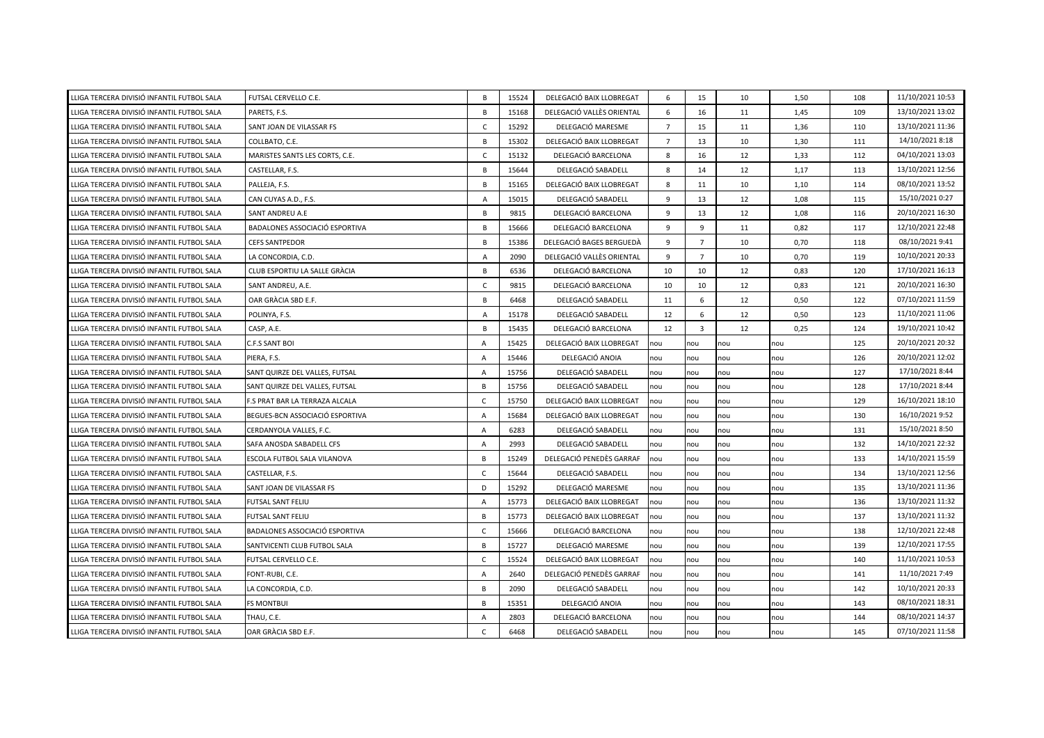| LLIGA TERCERA DIVISIÓ INFANTIL FUTBOL SALA | FUTSAL CERVELLO C.E.            | B              | 15524 | DELEGACIÓ BAIX LLOBREGAT  | 6              | 15             | 10  | 1,50 | 108 | 11/10/2021 10:53 |
|--------------------------------------------|---------------------------------|----------------|-------|---------------------------|----------------|----------------|-----|------|-----|------------------|
| LLIGA TERCERA DIVISIÓ INFANTIL FUTBOL SALA | PARETS, F.S.                    | B              | 15168 | DELEGACIÓ VALLÈS ORIENTAL | 6              | 16             | 11  | 1,45 | 109 | 13/10/2021 13:02 |
| LLIGA TERCERA DIVISIÓ INFANTIL FUTBOL SALA | SANT JOAN DE VILASSAR FS        | C              | 15292 | DELEGACIÓ MARESME         | $\overline{7}$ | 15             | 11  | 1,36 | 110 | 13/10/2021 11:36 |
| LLIGA TERCERA DIVISIÓ INFANTIL FUTBOL SALA | COLLBATO, C.E.                  | B              | 15302 | DELEGACIÓ BAIX LLOBREGAT  | $\overline{7}$ | 13             | 10  | 1,30 | 111 | 14/10/2021 8:18  |
| LLIGA TERCERA DIVISIÓ INFANTIL FUTBOL SALA | MARISTES SANTS LES CORTS, C.E.  | $\mathsf{C}$   | 15132 | DELEGACIÓ BARCELONA       | 8              | 16             | 12  | 1,33 | 112 | 04/10/2021 13:03 |
| LLIGA TERCERA DIVISIÓ INFANTIL FUTBOL SALA | CASTELLAR, F.S.                 | B              | 15644 | DELEGACIÓ SABADELL        | 8              | 14             | 12  | 1,17 | 113 | 13/10/2021 12:56 |
| LLIGA TERCERA DIVISIÓ INFANTIL FUTBOL SALA | PALLEJA, F.S.                   | B              | 15165 | DELEGACIÓ BAIX LLOBREGAT  | 8              | 11             | 10  | 1,10 | 114 | 08/10/2021 13:52 |
| LLIGA TERCERA DIVISIÓ INFANTIL FUTBOL SALA | CAN CUYAS A.D., F.S.            | A              | 15015 | DELEGACIÓ SABADELL        | 9              | 13             | 12  | 1,08 | 115 | 15/10/2021 0:27  |
| LLIGA TERCERA DIVISIÓ INFANTIL FUTBOL SALA | SANT ANDREU A.E                 | B              | 9815  | DELEGACIÓ BARCELONA       | 9              | 13             | 12  | 1,08 | 116 | 20/10/2021 16:30 |
| LLIGA TERCERA DIVISIÓ INFANTIL FUTBOL SALA | BADALONES ASSOCIACIÓ ESPORTIVA  | B              | 15666 | DELEGACIÓ BARCELONA       | 9              | 9              | 11  | 0,82 | 117 | 12/10/2021 22:48 |
| LLIGA TERCERA DIVISIÓ INFANTIL FUTBOL SALA | <b>CEFS SANTPEDOR</b>           | B              | 15386 | DELEGACIÓ BAGES BERGUEDÀ  | 9              | $\overline{7}$ | 10  | 0,70 | 118 | 08/10/2021 9:41  |
| LLIGA TERCERA DIVISIÓ INFANTIL FUTBOL SALA | LA CONCORDIA, C.D.              | $\overline{A}$ | 2090  | DELEGACIÓ VALLÈS ORIENTAL | 9              | $\overline{7}$ | 10  | 0,70 | 119 | 10/10/2021 20:33 |
| LLIGA TERCERA DIVISIÓ INFANTIL FUTBOL SALA | CLUB ESPORTIU LA SALLE GRÀCIA   | B              | 6536  | DELEGACIÓ BARCELONA       | 10             | 10             | 12  | 0,83 | 120 | 17/10/2021 16:13 |
| LLIGA TERCERA DIVISIÓ INFANTIL FUTBOL SALA | SANT ANDREU, A.E.               | $\mathsf{C}$   | 9815  | DELEGACIÓ BARCELONA       | 10             | 10             | 12  | 0,83 | 121 | 20/10/2021 16:30 |
| LLIGA TERCERA DIVISIÓ INFANTIL FUTBOL SALA | OAR GRÀCIA SBD E.F.             | B              | 6468  | DELEGACIÓ SABADELL        | 11             | 6              | 12  | 0,50 | 122 | 07/10/2021 11:59 |
| LLIGA TERCERA DIVISIÓ INFANTIL FUTBOL SALA | POLINYA, F.S.                   | A              | 15178 | DELEGACIÓ SABADELL        | 12             | 6              | 12  | 0,50 | 123 | 11/10/2021 11:06 |
| LLIGA TERCERA DIVISIÓ INFANTIL FUTBOL SALA | CASP, A.E.                      | B              | 15435 | DELEGACIÓ BARCELONA       | 12             | $\overline{3}$ | 12  | 0,25 | 124 | 19/10/2021 10:42 |
| LLIGA TERCERA DIVISIÓ INFANTIL FUTBOL SALA | <b>C.F.S SANT BOI</b>           | $\overline{A}$ | 15425 | DELEGACIÓ BAIX LLOBREGAT  | nou            | nou            | nou | nou  | 125 | 20/10/2021 20:32 |
| LLIGA TERCERA DIVISIÓ INFANTIL FUTBOL SALA | PIERA, F.S.                     | $\overline{A}$ | 15446 | DELEGACIÓ ANOIA           | nou            | nou            | nou | nou  | 126 | 20/10/2021 12:02 |
| LLIGA TERCERA DIVISIÓ INFANTIL FUTBOL SALA | SANT QUIRZE DEL VALLES, FUTSAL  | $\overline{A}$ | 15756 | DELEGACIÓ SABADELL        | nou            | nou            | nou | nou  | 127 | 17/10/2021 8:44  |
| LLIGA TERCERA DIVISIÓ INFANTIL FUTBOL SALA | SANT QUIRZE DEL VALLES, FUTSAL  | B              | 15756 | DELEGACIÓ SABADELL        | nou            | nou            | nou | nou  | 128 | 17/10/2021 8:44  |
| LLIGA TERCERA DIVISIÓ INFANTIL FUTBOL SALA | F.S PRAT BAR LA TERRAZA ALCALA  | C              | 15750 | DELEGACIÓ BAIX LLOBREGAT  | nou            | nou            | nou | nou  | 129 | 16/10/2021 18:10 |
| LLIGA TERCERA DIVISIÓ INFANTIL FUTBOL SALA | BEGUES-BCN ASSOCIACIÓ ESPORTIVA | $\overline{A}$ | 15684 | DELEGACIÓ BAIX LLOBREGAT  | nou            | nou            | nou | nou  | 130 | 16/10/2021 9:52  |
| LLIGA TERCERA DIVISIÓ INFANTIL FUTBOL SALA | CERDANYOLA VALLES, F.C.         | $\overline{A}$ | 6283  | DELEGACIÓ SABADELL        | nou            | nou            | nou | nou  | 131 | 15/10/2021 8:50  |
| LLIGA TERCERA DIVISIÓ INFANTIL FUTBOL SALA | SAFA ANOSDA SABADELL CFS        | $\overline{A}$ | 2993  | DELEGACIÓ SABADELL        | nou            | nou            | nou | nou  | 132 | 14/10/2021 22:32 |
| LLIGA TERCERA DIVISIÓ INFANTIL FUTBOL SALA | ESCOLA FUTBOL SALA VILANOVA     | $\overline{B}$ | 15249 | DELEGACIÓ PENEDES GARRAF  | nou            | nou            | nou | nou  | 133 | 14/10/2021 15:59 |
| LLIGA TERCERA DIVISIÓ INFANTIL FUTBOL SALA | CASTELLAR, F.S.                 | C              | 15644 | DELEGACIÓ SABADELL        | nou            | nou            | nou | nou  | 134 | 13/10/2021 12:56 |
| LLIGA TERCERA DIVISIÓ INFANTIL FUTBOL SALA | SANT JOAN DE VILASSAR FS        | D              | 15292 | DELEGACIÓ MARESME         | nou            | nou            | nou | nou  | 135 | 13/10/2021 11:36 |
| LLIGA TERCERA DIVISIÓ INFANTIL FUTBOL SALA | FUTSAL SANT FELIU               | $\overline{A}$ | 15773 | DELEGACIÓ BAIX LLOBREGAT  | nou            | nou            | nou | nou  | 136 | 13/10/2021 11:32 |
| LLIGA TERCERA DIVISIÓ INFANTIL FUTBOL SALA | FUTSAL SANT FELIU               | B              | 15773 | DELEGACIÓ BAIX LLOBREGAT  | nou            | nou            | nou | nou  | 137 | 13/10/2021 11:32 |
| LLIGA TERCERA DIVISIÓ INFANTIL FUTBOL SALA | BADALONES ASSOCIACIÓ ESPORTIVA  | $\mathsf{C}$   | 15666 | DELEGACIÓ BARCELONA       | nou            | nou            | nou | nou  | 138 | 12/10/2021 22:48 |
| LLIGA TERCERA DIVISIÓ INFANTIL FUTBOL SALA | SANTVICENTI CLUB FUTBOL SALA    | B              | 15727 | DELEGACIÓ MARESME         | nou            | nou            | nou | nou  | 139 | 12/10/2021 17:55 |
| LLIGA TERCERA DIVISIÓ INFANTIL FUTBOL SALA | FUTSAL CERVELLO C.E.            | $\mathsf{C}$   | 15524 | DELEGACIÓ BAIX LLOBREGAT  | nou            | nou            | nou | nou  | 140 | 11/10/2021 10:53 |
| LLIGA TERCERA DIVISIÓ INFANTIL FUTBOL SALA | FONT-RUBI, C.E.                 | $\overline{A}$ | 2640  | DELEGACIÓ PENEDÈS GARRAF  | nou            | nou            | nou | nou  | 141 | 11/10/2021 7:49  |
| LLIGA TERCERA DIVISIÓ INFANTIL FUTBOL SALA | LA CONCORDIA, C.D.              | B              | 2090  | DELEGACIÓ SABADELL        | nou            | nou            | nou | nou  | 142 | 10/10/2021 20:33 |
| LLIGA TERCERA DIVISIÓ INFANTIL FUTBOL SALA | <b>FS MONTBUI</b>               | B              | 15351 | DELEGACIÓ ANOIA           | nou            | nou            | nou | nou  | 143 | 08/10/2021 18:31 |
| LLIGA TERCERA DIVISIÓ INFANTIL FUTBOL SALA | THAU, C.E.                      | $\overline{A}$ | 2803  | DELEGACIÓ BARCELONA       | nou            | nou            | nou | nou  | 144 | 08/10/2021 14:37 |
| LLIGA TERCERA DIVISIÓ INFANTIL FUTBOL SALA | OAR GRACIA SBD E.F.             | $\mathsf{C}$   | 6468  | DELEGACIÓ SABADELL        | nou            | nou            | nou | nou  | 145 | 07/10/2021 11:58 |